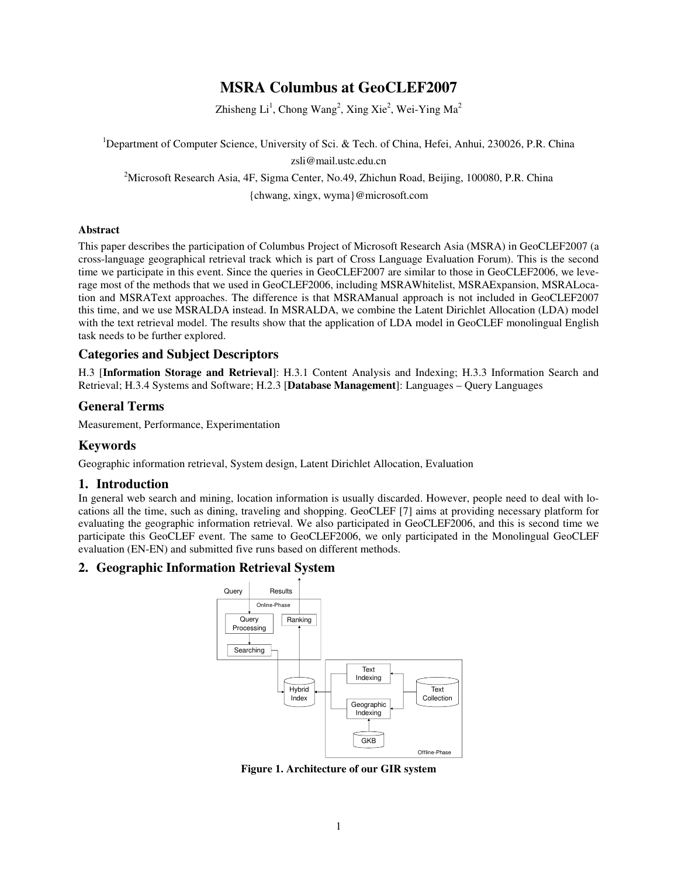# **MSRA Columbus at GeoCLEF2007**

Zhisheng Li<sup>1</sup>, Chong Wang<sup>2</sup>, Xing Xie<sup>2</sup>, Wei-Ying Ma<sup>2</sup>

<sup>1</sup>Department of Computer Science, University of Sci. & Tech. of China, Hefei, Anhui, 230026, P.R. China zsli@mail.ustc.edu.cn

<sup>2</sup>Microsoft Research Asia, 4F, Sigma Center, No.49, Zhichun Road, Beijing, 100080, P.R. China

{chwang, xingx, wyma}@microsoft.com

#### **Abstract**

This paper describes the participation of Columbus Project of Microsoft Research Asia (MSRA) in GeoCLEF2007 (a cross-language geographical retrieval track which is part of Cross Language Evaluation Forum). This is the second time we participate in this event. Since the queries in GeoCLEF2007 are similar to those in GeoCLEF2006, we leverage most of the methods that we used in GeoCLEF2006, including MSRAWhitelist, MSRAExpansion, MSRALocation and MSRAText approaches. The difference is that MSRAManual approach is not included in GeoCLEF2007 this time, and we use MSRALDA instead. In MSRALDA, we combine the Latent Dirichlet Allocation (LDA) model with the text retrieval model. The results show that the application of LDA model in GeoCLEF monolingual English task needs to be further explored.

## **Categories and Subject Descriptors**

H.3 [**Information Storage and Retrieval**]: H.3.1 Content Analysis and Indexing; H.3.3 Information Search and Retrieval; H.3.4 Systems and Software; H.2.3 [**Database Management**]: Languages – Query Languages

## **General Terms**

Measurement, Performance, Experimentation

## **Keywords**

Geographic information retrieval, System design, Latent Dirichlet Allocation, Evaluation

### **1. Introduction**

In general web search and mining, location information is usually discarded. However, people need to deal with locations all the time, such as dining, traveling and shopping. GeoCLEF [7] aims at providing necessary platform for evaluating the geographic information retrieval. We also participated in GeoCLEF2006, and this is second time we participate this GeoCLEF event. The same to GeoCLEF2006, we only participated in the Monolingual GeoCLEF evaluation (EN-EN) and submitted five runs based on different methods.

### **2. Geographic Information Retrieval System**



**Figure 1. Architecture of our GIR system**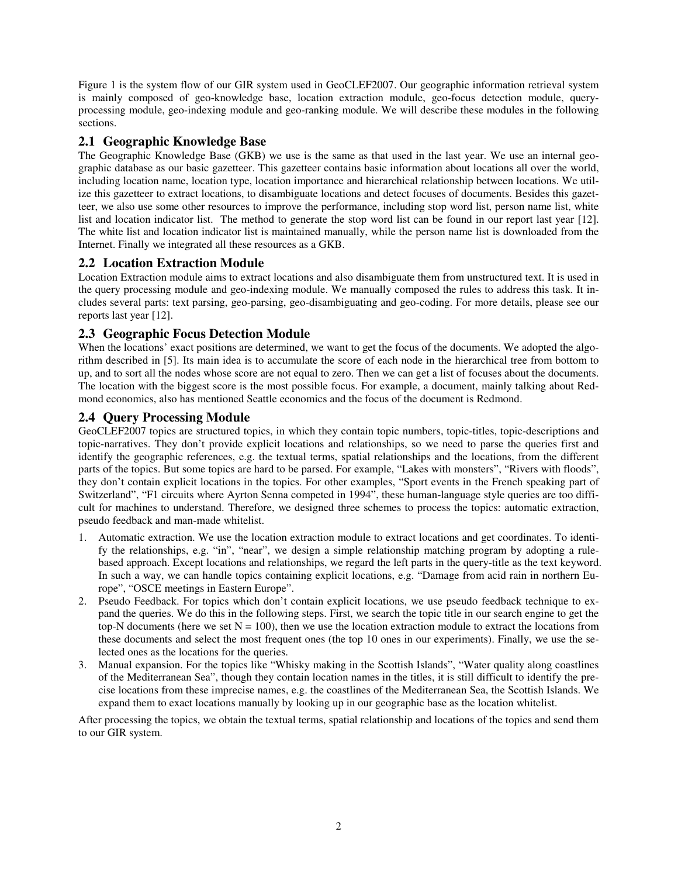Figure 1 is the system flow of our GIR system used in GeoCLEF2007. Our geographic information retrieval system is mainly composed of geo-knowledge base, location extraction module, geo-focus detection module, queryprocessing module, geo-indexing module and geo-ranking module. We will describe these modules in the following sections.

## **2.1 Geographic Knowledge Base**

The Geographic Knowledge Base (GKB) we use is the same as that used in the last year. We use an internal geographic database as our basic gazetteer. This gazetteer contains basic information about locations all over the world, including location name, location type, location importance and hierarchical relationship between locations. We utilize this gazetteer to extract locations, to disambiguate locations and detect focuses of documents. Besides this gazetteer, we also use some other resources to improve the performance, including stop word list, person name list, white list and location indicator list. The method to generate the stop word list can be found in our report last year [12]. The white list and location indicator list is maintained manually, while the person name list is downloaded from the Internet. Finally we integrated all these resources as a GKB.

## **2.2 Location Extraction Module**

Location Extraction module aims to extract locations and also disambiguate them from unstructured text. It is used in the query processing module and geo-indexing module. We manually composed the rules to address this task. It includes several parts: text parsing, geo-parsing, geo-disambiguating and geo-coding. For more details, please see our reports last year [12].

## **2.3 Geographic Focus Detection Module**

When the locations' exact positions are determined, we want to get the focus of the documents. We adopted the algorithm described in [5]. Its main idea is to accumulate the score of each node in the hierarchical tree from bottom to up, and to sort all the nodes whose score are not equal to zero. Then we can get a list of focuses about the documents. The location with the biggest score is the most possible focus. For example, a document, mainly talking about Redmond economics, also has mentioned Seattle economics and the focus of the document is Redmond.

## **2.4 Query Processing Module**

GeoCLEF2007 topics are structured topics, in which they contain topic numbers, topic-titles, topic-descriptions and topic-narratives. They don't provide explicit locations and relationships, so we need to parse the queries first and identify the geographic references, e.g. the textual terms, spatial relationships and the locations, from the different parts of the topics. But some topics are hard to be parsed. For example, "Lakes with monsters", "Rivers with floods", they don't contain explicit locations in the topics. For other examples, "Sport events in the French speaking part of Switzerland", "F1 circuits where Ayrton Senna competed in 1994", these human-language style queries are too difficult for machines to understand. Therefore, we designed three schemes to process the topics: automatic extraction, pseudo feedback and man-made whitelist.

- 1. Automatic extraction. We use the location extraction module to extract locations and get coordinates. To identify the relationships, e.g. "in", "near", we design a simple relationship matching program by adopting a rulebased approach. Except locations and relationships, we regard the left parts in the query-title as the text keyword. In such a way, we can handle topics containing explicit locations, e.g. "Damage from acid rain in northern Europe", "OSCE meetings in Eastern Europe".
- 2. Pseudo Feedback. For topics which don't contain explicit locations, we use pseudo feedback technique to expand the queries. We do this in the following steps. First, we search the topic title in our search engine to get the top-N documents (here we set  $N = 100$ ), then we use the location extraction module to extract the locations from these documents and select the most frequent ones (the top 10 ones in our experiments). Finally, we use the selected ones as the locations for the queries.
- 3. Manual expansion. For the topics like "Whisky making in the Scottish Islands", "Water quality along coastlines of the Mediterranean Sea", though they contain location names in the titles, it is still difficult to identify the precise locations from these imprecise names, e.g. the coastlines of the Mediterranean Sea, the Scottish Islands. We expand them to exact locations manually by looking up in our geographic base as the location whitelist.

After processing the topics, we obtain the textual terms, spatial relationship and locations of the topics and send them to our GIR system.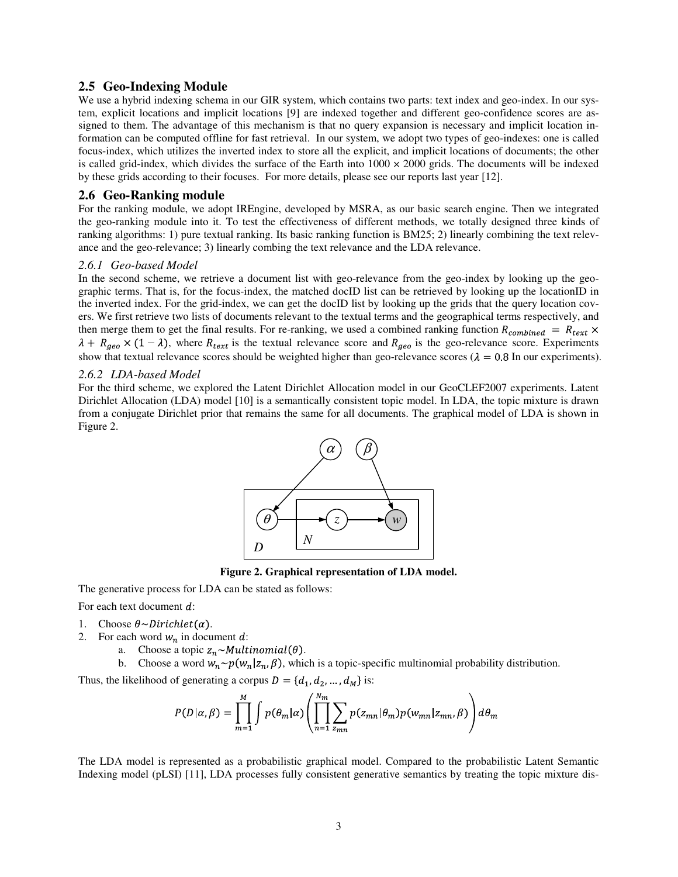#### **2.5 Geo-Indexing Module**

We use a hybrid indexing schema in our GIR system, which contains two parts: text index and geo-index. In our system, explicit locations and implicit locations [9] are indexed together and different geo-confidence scores are assigned to them. The advantage of this mechanism is that no query expansion is necessary and implicit location information can be computed offline for fast retrieval. In our system, we adopt two types of geo-indexes: one is called focus-index, which utilizes the inverted index to store all the explicit, and implicit locations of documents; the other is called grid-index, which divides the surface of the Earth into  $1000 \times 2000$  grids. The documents will be indexed by these grids according to their focuses. For more details, please see our reports last year [12].

#### **2.6 Geo-Ranking module**

For the ranking module, we adopt IREngine, developed by MSRA, as our basic search engine. Then we integrated the geo-ranking module into it. To test the effectiveness of different methods, we totally designed three kinds of ranking algorithms: 1) pure textual ranking. Its basic ranking function is BM25; 2) linearly combining the text relevance and the geo-relevance; 3) linearly combing the text relevance and the LDA relevance.

#### *2.6.1 Geo-based Model*

In the second scheme, we retrieve a document list with geo-relevance from the geo-index by looking up the geographic terms. That is, for the focus-index, the matched docID list can be retrieved by looking up the locationID in the inverted index. For the grid-index, we can get the docID list by looking up the grids that the query location covers. We first retrieve two lists of documents relevant to the textual terms and the geographical terms respectively, and then merge them to get the final results. For re-ranking, we used a combined ranking function  $R_{combined} = R_{text} \times$  $\lambda + R_{geo} \times (1 - \lambda)$ , where  $R_{text}$  is the textual relevance score and  $R_{geo}$  is the geo-relevance score. Experiments show that textual relevance scores should be weighted higher than geo-relevance scores ( $\lambda = 0.8$  In our experiments).

#### *2.6.2 LDA-based Model*

For the third scheme, we explored the Latent Dirichlet Allocation model in our GeoCLEF2007 experiments. Latent Dirichlet Allocation (LDA) model [10] is a semantically consistent topic model. In LDA, the topic mixture is drawn from a conjugate Dirichlet prior that remains the same for all documents. The graphical model of LDA is shown in Figure 2.



**Figure 2. Graphical representation of LDA model.** 

The generative process for LDA can be stated as follows:

For each text document  $d$ :

- 1. Choose  $\theta \sim Dirichlet(\alpha)$ .
- 2. For each word  $w_n$  in document d:
	- a. Choose a topic  $z_n \sim Multinomial(\theta)$ .
	- b. Choose a word  $w_n \sim p(w_n | z_n, \beta)$ , which is a topic-specific multinomial probability distribution.

Thus, the likelihood of generating a corpus  $D = \{d_1, d_2, ..., d_M\}$  is:

$$
P(D|\alpha, \beta) = \prod_{m=1}^{M} \int p(\theta_m|\alpha) \left( \prod_{n=1}^{N_m} \sum_{z_{mn}} p(z_{mn}|\theta_m) p(w_{mn}|z_{mn}, \beta) \right) d\theta_m
$$

The LDA model is represented as a probabilistic graphical model. Compared to the probabilistic Latent Semantic Indexing model (pLSI) [11], LDA processes fully consistent generative semantics by treating the topic mixture dis-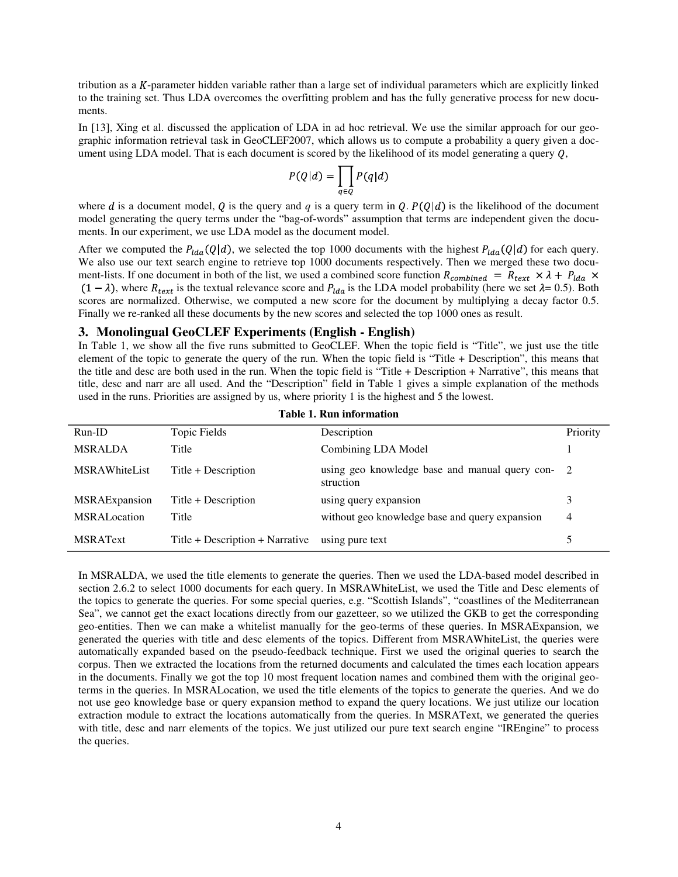tribution as a  $K$ -parameter hidden variable rather than a large set of individual parameters which are explicitly linked to the training set. Thus LDA overcomes the overfitting problem and has the fully generative process for new documents.

In [13], Xing et al. discussed the application of LDA in ad hoc retrieval. We use the similar approach for our geographic information retrieval task in GeoCLEF2007, which allows us to compute a probability a query given a document using LDA model. That is each document is scored by the likelihood of its model generating a query  $Q$ ,

$$
P(Q|d) = \prod_{q \in Q} P(q|d)
$$

where *d* is a document model, *Q* is the query and *q* is a query term in *Q*.  $P(Q|d)$  is the likelihood of the document model generating the query terms under the "bag-of-words" assumption that terms are independent given the documents. In our experiment, we use LDA model as the document model.

After we computed the  $P_{lda}(Q|d)$ , we selected the top 1000 documents with the highest  $P_{lda}(Q|d)$  for each query. We also use our text search engine to retrieve top 1000 documents respectively. Then we merged these two document-lists. If one document in both of the list, we used a combined score function  $R_{combined} = R_{text} \times \lambda + P_{lda} \times$  $(1 - \lambda)$ , where  $R_{text}$  is the textual relevance score and  $P_{lda}$  is the LDA model probability (here we set  $\lambda = 0.5$ ). Both scores are normalized. Otherwise, we computed a new score for the document by multiplying a decay factor 0.5. Finally we re-ranked all these documents by the new scores and selected the top 1000 ones as result.

#### **3. Monolingual GeoCLEF Experiments (English - English)**

In Table 1, we show all the five runs submitted to GeoCLEF. When the topic field is "Title", we just use the title element of the topic to generate the query of the run. When the topic field is "Title + Description", this means that the title and desc are both used in the run. When the topic field is "Title + Description + Narrative", this means that title, desc and narr are all used. And the "Description" field in Table 1 gives a simple explanation of the methods used in the runs. Priorities are assigned by us, where priority 1 is the highest and 5 the lowest.

| $Run-ID$              | Topic Fields                    | Description                                                 | Priority |
|-----------------------|---------------------------------|-------------------------------------------------------------|----------|
| <b>MSRALDA</b>        | Title                           | Combining LDA Model                                         |          |
| <b>MSRAWhiteList</b>  | Title + Description             | using geo knowledge base and manual query con-<br>struction | -2       |
| <b>MSRAE</b> xpansion | Title + Description             | using query expansion                                       | 3        |
| <b>MSRAL</b> ocation  | Title                           | without geo knowledge base and query expansion              | 4        |
| <b>MSRAText</b>       | Title + Description + Narrative | using pure text                                             |          |

**Table 1. Run information** 

In MSRALDA, we used the title elements to generate the queries. Then we used the LDA-based model described in section 2.6.2 to select 1000 documents for each query. In MSRAWhiteList, we used the Title and Desc elements of the topics to generate the queries. For some special queries, e.g. "Scottish Islands", "coastlines of the Mediterranean Sea", we cannot get the exact locations directly from our gazetteer, so we utilized the GKB to get the corresponding geo-entities. Then we can make a whitelist manually for the geo-terms of these queries. In MSRAExpansion, we generated the queries with title and desc elements of the topics. Different from MSRAWhiteList, the queries were automatically expanded based on the pseudo-feedback technique. First we used the original queries to search the corpus. Then we extracted the locations from the returned documents and calculated the times each location appears in the documents. Finally we got the top 10 most frequent location names and combined them with the original geoterms in the queries. In MSRALocation, we used the title elements of the topics to generate the queries. And we do not use geo knowledge base or query expansion method to expand the query locations. We just utilize our location extraction module to extract the locations automatically from the queries. In MSRAText, we generated the queries with title, desc and narr elements of the topics. We just utilized our pure text search engine "IREngine" to process the queries.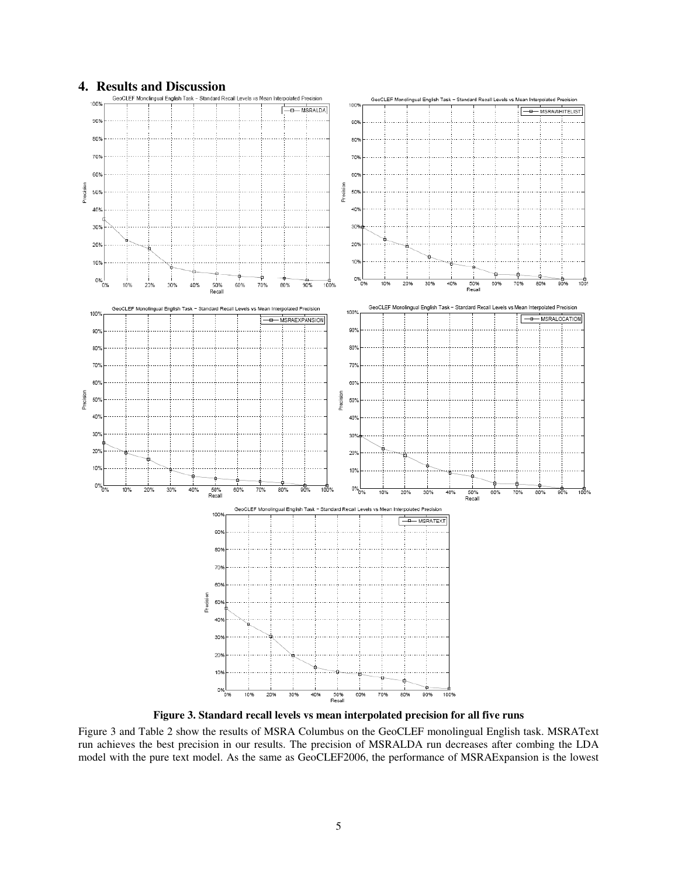

**Figure 3. Standard recall levels vs mean interpolated precision for all five runs** 

Figure 3 and Table 2 show the results of MSRA Columbus on the GeoCLEF monolingual English task. MSRAText run achieves the best precision in our results. The precision of MSRALDA run decreases after combing the LDA model with the pure text model. As the same as GeoCLEF2006, the performance of MSRAExpansion is the lowest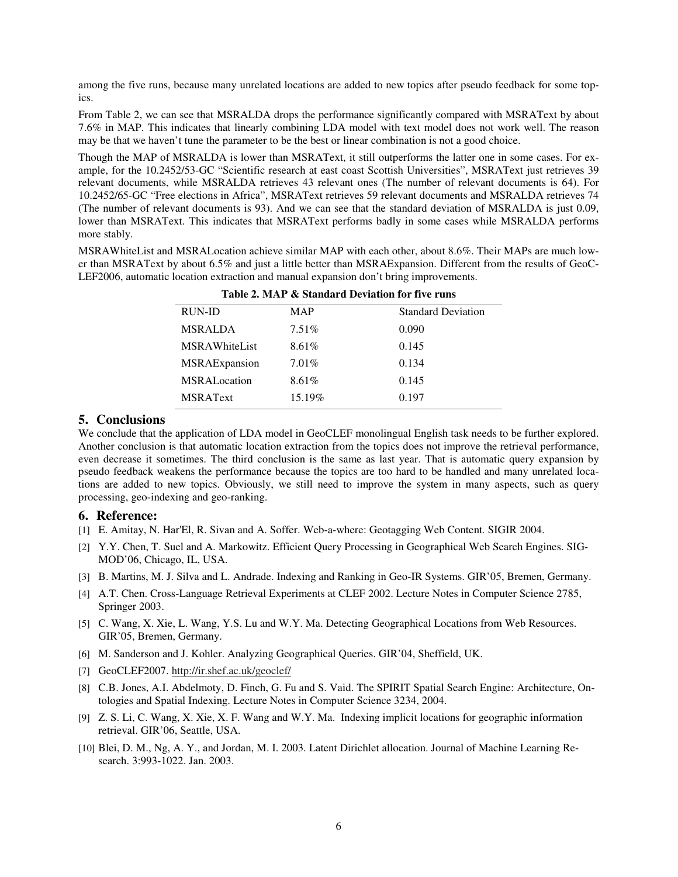among the five runs, because many unrelated locations are added to new topics after pseudo feedback for some topics.

From Table 2, we can see that MSRALDA drops the performance significantly compared with MSRAText by about 7.6% in MAP. This indicates that linearly combining LDA model with text model does not work well. The reason may be that we haven't tune the parameter to be the best or linear combination is not a good choice.

Though the MAP of MSRALDA is lower than MSRAText, it still outperforms the latter one in some cases. For example, for the 10.2452/53-GC "Scientific research at east coast Scottish Universities", MSRAText just retrieves 39 relevant documents, while MSRALDA retrieves 43 relevant ones (The number of relevant documents is 64). For 10.2452/65-GC "Free elections in Africa", MSRAText retrieves 59 relevant documents and MSRALDA retrieves 74 (The number of relevant documents is 93). And we can see that the standard deviation of MSRALDA is just 0.09, lower than MSRAText. This indicates that MSRAText performs badly in some cases while MSRALDA performs more stably.

MSRAWhiteList and MSRALocation achieve similar MAP with each other, about 8.6%. Their MAPs are much lower than MSRAText by about 6.5% and just a little better than MSRAExpansion. Different from the results of GeoC-LEF2006, automatic location extraction and manual expansion don't bring improvements.

| Table 2. MAP & Standard Deviation for five runs |          |                           |  |
|-------------------------------------------------|----------|---------------------------|--|
| RUN-ID                                          | MAP      | <b>Standard Deviation</b> |  |
| <b>MSRALDA</b>                                  | $7.51\%$ | 0.090                     |  |
| <b>MSRAWhiteList</b>                            | 8.61%    | 0.145                     |  |
| <b>MSRAE</b> xpansion                           | 7.01%    | 0.134                     |  |
| <b>MSRAL</b> ocation                            | 8.61%    | 0.145                     |  |
| <b>MSRAText</b>                                 | 15.19%   | 0.197                     |  |

#### **5. Conclusions**

We conclude that the application of LDA model in GeoCLEF monolingual English task needs to be further explored. Another conclusion is that automatic location extraction from the topics does not improve the retrieval performance, even decrease it sometimes. The third conclusion is the same as last year. That is automatic query expansion by pseudo feedback weakens the performance because the topics are too hard to be handled and many unrelated locations are added to new topics. Obviously, we still need to improve the system in many aspects, such as query processing, geo-indexing and geo-ranking.

#### **6. Reference:**

- [1] E. Amitay, N. Har'El, R. Sivan and A. Soffer. Web-a-where: Geotagging Web Content*.* SIGIR 2004.
- [2] Y.Y. Chen, T. Suel and A. Markowitz. Efficient Query Processing in Geographical Web Search Engines. SIG-MOD'06, Chicago, IL, USA.
- [3] B. Martins, M. J. Silva and L. Andrade. Indexing and Ranking in Geo-IR Systems. GIR'05, Bremen, Germany.
- [4] A.T. Chen. Cross-Language Retrieval Experiments at CLEF 2002. Lecture Notes in Computer Science 2785, Springer 2003.
- [5] C. Wang, X. Xie, L. Wang, Y.S. Lu and W.Y. Ma. Detecting Geographical Locations from Web Resources. GIR'05, Bremen, Germany.
- [6] M. Sanderson and J. Kohler. Analyzing Geographical Queries. GIR'04, Sheffield, UK.
- [7] GeoCLEF2007. http://ir.shef.ac.uk/geoclef/
- [8] C.B. Jones, A.I. Abdelmoty, D. Finch, G. Fu and S. Vaid. The SPIRIT Spatial Search Engine: Architecture, Ontologies and Spatial Indexing. Lecture Notes in Computer Science 3234, 2004.
- [9] Z. S. Li, C. Wang, X. Xie, X. F. Wang and W.Y. Ma. Indexing implicit locations for geographic information retrieval. GIR'06, Seattle, USA.
- [10] Blei, D. M., Ng, A. Y., and Jordan, M. I. 2003. Latent Dirichlet allocation. Journal of Machine Learning Research. 3:993-1022. Jan. 2003.